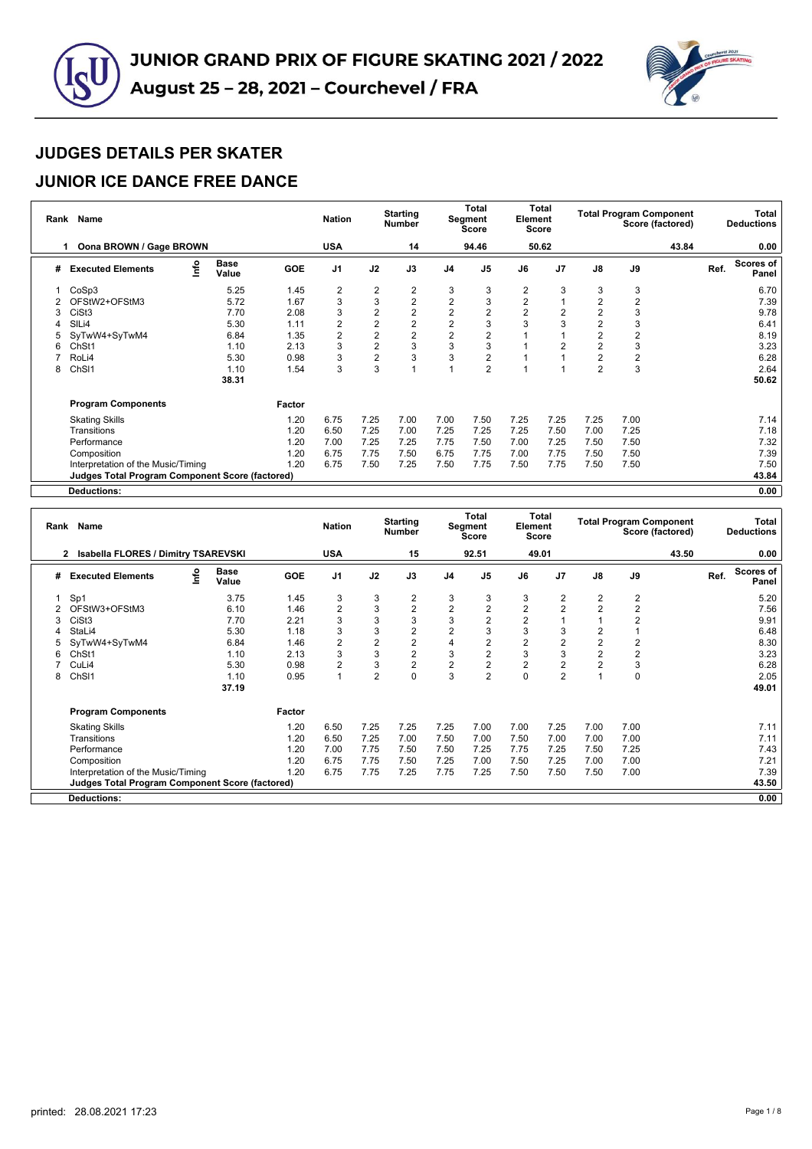

#### **JUNIOR ICE DANCE FREE DANCE**

|   | Rank Name                                              |                      |            | <b>Nation</b>  |                | <b>Starting</b><br><b>Number</b> |                         | <b>Total</b><br>Segment<br><b>Score</b> | Element        | <b>Total</b><br><b>Score</b> |                         |      | <b>Total Program Component</b><br>Score (factored) |      | Total<br><b>Deductions</b> |
|---|--------------------------------------------------------|----------------------|------------|----------------|----------------|----------------------------------|-------------------------|-----------------------------------------|----------------|------------------------------|-------------------------|------|----------------------------------------------------|------|----------------------------|
|   | Oona BROWN / Gage BROWN                                |                      |            | <b>USA</b>     |                | 14                               |                         | 94.46                                   |                | 50.62                        |                         |      | 43.84                                              |      | 0.00                       |
| # | info<br><b>Executed Elements</b>                       | <b>Base</b><br>Value | <b>GOE</b> | J <sub>1</sub> | J2             | J3                               | J <sub>4</sub>          | J <sub>5</sub>                          | J6             | J <sub>7</sub>               | $\mathsf{J}8$           | J9   |                                                    | Ref. | Scores of<br>Panel         |
|   | CoSp3                                                  | 5.25                 | 1.45       | 2              | 2              | 2                                | 3                       | 3                                       | 2              | 3                            | 3                       | 3    |                                                    |      | 6.70                       |
|   | OFStW2+OFStM3                                          | 5.72                 | 1.67       | 3              | 3              | $\overline{2}$                   | $\overline{\mathbf{c}}$ | 3                                       | $\overline{2}$ |                              | $\overline{2}$          | 2    |                                                    |      | 7.39                       |
| 3 | CiSt <sub>3</sub>                                      | 7.70                 | 2.08       | 3              | 2              | $\overline{2}$                   | 2                       | $\overline{2}$                          | $\overline{2}$ | 2                            | $\overline{\mathbf{c}}$ | 3    |                                                    |      | 9.78                       |
|   | SIL <sub>i4</sub>                                      | 5.30                 | 1.11       | 2              | $\overline{2}$ | $\overline{2}$                   | $\overline{2}$          | 3                                       | 3              | 3                            | $\sqrt{2}$              | 3    |                                                    |      | 6.41                       |
|   | SyTwW4+SyTwM4                                          | 6.84                 | 1.35       | 2              | $\overline{2}$ | $\overline{2}$                   | $\overline{2}$          | $\overline{2}$                          |                |                              | $\overline{2}$          |      |                                                    |      | 8.19                       |
| 6 | ChSt1                                                  | 1.10                 | 2.13       | 3              | $\overline{2}$ | 3                                | 3                       | 3                                       |                | $\overline{2}$               | $\overline{2}$          | 3    |                                                    |      | 3.23                       |
|   | RoLi4                                                  | 5.30                 | 0.98       | 3              | $\overline{2}$ | 3                                | 3                       | $\overline{2}$                          |                |                              | $\overline{2}$          | 2    |                                                    |      | 6.28                       |
| 8 | ChSI1                                                  | 1.10                 | 1.54       | 3              | 3              |                                  |                         | $\overline{2}$                          |                |                              | $\overline{2}$          | 3    |                                                    |      | 2.64                       |
|   |                                                        | 38.31                |            |                |                |                                  |                         |                                         |                |                              |                         |      |                                                    |      | 50.62                      |
|   | <b>Program Components</b>                              |                      | Factor     |                |                |                                  |                         |                                         |                |                              |                         |      |                                                    |      |                            |
|   | <b>Skating Skills</b>                                  |                      | 1.20       | 6.75           | 7.25           | 7.00                             | 7.00                    | 7.50                                    | 7.25           | 7.25                         | 7.25                    | 7.00 |                                                    |      | 7.14                       |
|   | Transitions                                            |                      | 1.20       | 6.50           | 7.25           | 7.00                             | 7.25                    | 7.25                                    | 7.25           | 7.50                         | 7.00                    | 7.25 |                                                    |      | 7.18                       |
|   | Performance                                            |                      | 1.20       | 7.00           | 7.25           | 7.25                             | 7.75                    | 7.50                                    | 7.00           | 7.25                         | 7.50                    | 7.50 |                                                    |      | 7.32                       |
|   | Composition                                            |                      | 1.20       | 6.75           | 7.75           | 7.50                             | 6.75                    | 7.75                                    | 7.00           | 7.75                         | 7.50                    | 7.50 |                                                    |      | 7.39                       |
|   | Interpretation of the Music/Timing                     |                      | 1.20       | 6.75           | 7.50           | 7.25                             | 7.50                    | 7.75                                    | 7.50           | 7.75                         | 7.50                    | 7.50 |                                                    |      | 7.50                       |
|   | <b>Judges Total Program Component Score (factored)</b> |                      |            |                |                |                                  |                         |                                         |                |                              |                         |      |                                                    |      | 43.84                      |
|   | Deductions:                                            |                      |            |                |                |                                  |                         |                                         |                |                              |                         |      |                                                    |      | 0.00                       |

**Rank Name Nation Starting Number Total Segment Score Total Element Score Total Program Component Score (factored) Total Deductions 2 Isabella FLORES / Dimitry TSAREVSKI USA 15 92.51 49.01 43.50 0.00 # Executed Elements Info Base Value GOE J1 J2 J3 J4 J5 J6 J7 J8 J9 Ref. Scores of Panel** 1 Sp1 3.75 1.45 3 3 2 3 3 3 2 2 2 5.20 2 OFStW3+OFStM3 6.10 1.46 2 3 2 2 2 2 2 2 2 7.56 3 CiSt3 7.70 2.21 3 3 3 3 2 2 1 1 2 9.91 4 StaLi4 5.30 1.18 3 3 2 2 3 3 3 2 1 6.48 5 SyTwW4+SyTwM4 6.84 1.46 2 2 2 4 2 2 2 2 2 8.30 6 ChSt1 1.10 2.13 3 3 2 3 2 3 3 2 2 3.23 7 CuLi4 5.30 0.98 2 3 2 2 2 2 2 2 3 6.28 8 ChSl1 1.10 0.95 1 2 0 3 2 0 2 1 0 2.05 **37.19 49.01 Program Components Factor** Skating Skills 1.20 6.50 7.25 7.25 7.25 7.00 7.00 7.25 7.00 7.00 7.11 Transitions 1.20 6.50 7.25 7.00 7.50 7.00 7.50 7.00 7.00 7.00 7.11 Performance 1.20 7.00 7.75 7.50 7.50 7.25 7.75 7.25 7.50 7.25 7.43 Composition 1.20 6.75 7.75 7.50 7.25 7.00 7.50 7.25 7.00 7.00 7.21 Interpretation of the Music/Timing 1.20 6.75 7.75 7.25 7.75 7.25 7.50 7.50 7.50 7.00 7.39 **Judges Total Program Component Score (factored) 43.50 Deductions: 0.00**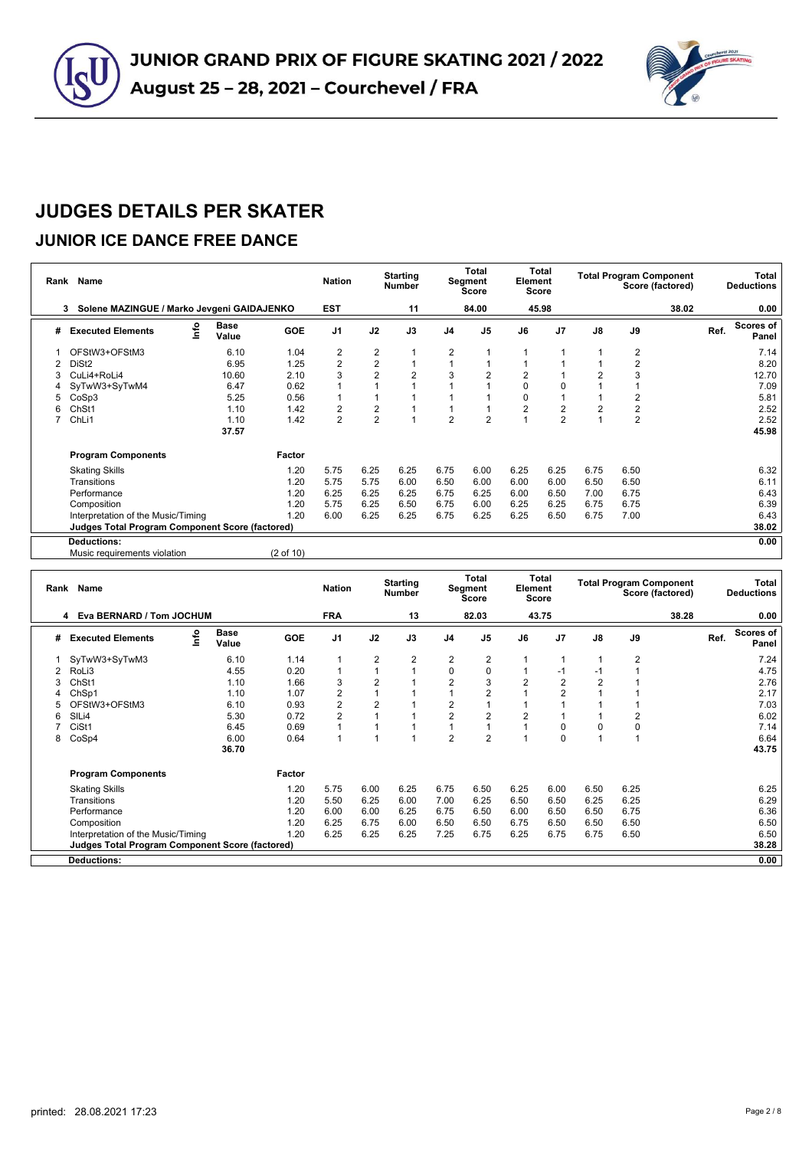



#### **JUNIOR ICE DANCE FREE DANCE**

| Rank | Name                                                   |               |                      | <b>Nation</b>           |                | <b>Starting</b><br><b>Number</b> |                | <b>Total</b><br>Segment<br><b>Score</b> | Element        | Total<br><b>Score</b> |                         | <b>Total Program Component</b> | Score (factored) |      | Total<br><b>Deductions</b> |
|------|--------------------------------------------------------|---------------|----------------------|-------------------------|----------------|----------------------------------|----------------|-----------------------------------------|----------------|-----------------------|-------------------------|--------------------------------|------------------|------|----------------------------|
|      | Solene MAZINGUE / Marko Jevgeni GAIDAJENKO<br>3        |               |                      | <b>EST</b>              |                | 11                               |                | 84.00                                   |                | 45.98                 |                         |                                | 38.02            |      | 0.00                       |
| #    | info<br><b>Executed Elements</b>                       | Base<br>Value | <b>GOE</b>           | J <sub>1</sub>          | J2             | J3                               | J <sub>4</sub> | J <sub>5</sub>                          | J6             | J <sub>7</sub>        | J8                      | J9                             |                  | Ref. | Scores of<br>Panel         |
|      | OFStW3+OFStM3                                          | 6.10          | 1.04                 | 2                       | $\overline{2}$ |                                  | 2              |                                         |                |                       |                         | 2                              |                  |      | 7.14                       |
| 2    | DiSt <sub>2</sub>                                      | 6.95          | 1.25                 | $\overline{2}$          | $\overline{2}$ | 1                                | ۸              |                                         |                |                       |                         | 2                              |                  |      | 8.20                       |
| 3    | CuLi4+RoLi4                                            | 10.60         | 2.10                 | 3                       | $\overline{2}$ | $\overline{2}$                   | 3              | 2                                       | $\overline{2}$ |                       | $\overline{2}$          | 3                              |                  |      | 12.70                      |
|      | SyTwW3+SyTwM4                                          | 6.47          | 0.62                 | 1                       |                |                                  |                |                                         | $\Omega$       | 0                     |                         |                                |                  |      | 7.09                       |
| 5    | CoSp3                                                  | 5.25          | 0.56                 | 1                       |                |                                  |                |                                         | 0              |                       |                         | 2                              |                  |      | 5.81                       |
| 6    | Ch <sub>St1</sub>                                      | 1.10          | 1.42                 | $\overline{\mathbf{c}}$ | 2              |                                  | $\overline{1}$ |                                         | $\overline{2}$ | $\overline{2}$        | $\overline{\mathbf{c}}$ | $\overline{\mathbf{c}}$        |                  |      | 2.52                       |
|      | ChL <sub>i1</sub>                                      | 1.10          | 1.42                 | $\overline{2}$          | 2              | 1                                | 2              | 2                                       |                | $\overline{2}$        | 1                       | $\overline{2}$                 |                  |      | 2.52                       |
|      |                                                        | 37.57         |                      |                         |                |                                  |                |                                         |                |                       |                         |                                |                  |      | 45.98                      |
|      | <b>Program Components</b>                              |               | Factor               |                         |                |                                  |                |                                         |                |                       |                         |                                |                  |      |                            |
|      | <b>Skating Skills</b>                                  |               | 1.20                 | 5.75                    | 6.25           | 6.25                             | 6.75           | 6.00                                    | 6.25           | 6.25                  | 6.75                    | 6.50                           |                  |      | 6.32                       |
|      | Transitions                                            |               | 1.20                 | 5.75                    | 5.75           | 6.00                             | 6.50           | 6.00                                    | 6.00           | 6.00                  | 6.50                    | 6.50                           |                  |      | 6.11                       |
|      | Performance                                            |               | 1.20                 | 6.25                    | 6.25           | 6.25                             | 6.75           | 6.25                                    | 6.00           | 6.50                  | 7.00                    | 6.75                           |                  |      | 6.43                       |
|      | Composition                                            |               | 1.20                 | 5.75                    | 6.25           | 6.50                             | 6.75           | 6.00                                    | 6.25           | 6.25                  | 6.75                    | 6.75                           |                  |      | 6.39                       |
|      | Interpretation of the Music/Timing                     |               | 1.20                 | 6.00                    | 6.25           | 6.25                             | 6.75           | 6.25                                    | 6.25           | 6.50                  | 6.75                    | 7.00                           |                  |      | 6.43                       |
|      | <b>Judges Total Program Component Score (factored)</b> |               |                      |                         |                |                                  |                |                                         |                |                       |                         |                                |                  |      | 38.02                      |
|      | <b>Deductions:</b>                                     |               |                      |                         |                |                                  |                |                                         |                |                       |                         |                                |                  |      | 0.00                       |
|      | Music requirements violation                           |               | $(2 \text{ of } 10)$ |                         |                |                                  |                |                                         |                |                       |                         |                                |                  |      |                            |

| Rank | Name                                            |                      |            | <b>Nation</b>  |                | <b>Starting</b><br><b>Number</b> |                | Total<br>Segment<br>Score | Element        | Total<br><b>Score</b> |                |                | <b>Total Program Component</b><br>Score (factored) |      | Total<br><b>Deductions</b> |
|------|-------------------------------------------------|----------------------|------------|----------------|----------------|----------------------------------|----------------|---------------------------|----------------|-----------------------|----------------|----------------|----------------------------------------------------|------|----------------------------|
|      | Eva BERNARD / Tom JOCHUM<br>4                   |                      |            | <b>FRA</b>     |                | 13                               |                | 82.03                     |                | 43.75                 |                |                | 38.28                                              |      | 0.00                       |
| #    | ۴ò<br><b>Executed Elements</b>                  | <b>Base</b><br>Value | <b>GOE</b> | J <sub>1</sub> | J2             | J3                               | J <sub>4</sub> | J <sub>5</sub>            | J6             | J <sub>7</sub>        | $\mathsf{J}8$  | J9             |                                                    | Ref. | <b>Scores of</b><br>Panel  |
|      | SyTwW3+SyTwM3                                   | 6.10                 | 1.14       | 1              | $\overline{2}$ | $\overline{2}$                   | $\overline{2}$ | $\overline{2}$            |                |                       |                | $\overline{2}$ |                                                    |      | 7.24                       |
|      | RoLi3                                           | 4.55                 | 0.20       | $\mathbf{1}$   |                | 4                                | 0              | 0                         |                | -1                    | $-1$           |                |                                                    |      | 4.75                       |
| 3    | ChSt1                                           | 1.10                 | 1.66       | 3              | $\overline{2}$ |                                  | $\overline{2}$ | 3                         | $\overline{2}$ | $\overline{2}$        | $\overline{2}$ |                |                                                    |      | 2.76                       |
|      | ChSp1                                           | 1.10                 | 1.07       | $\overline{2}$ |                |                                  |                | 2                         |                | $\overline{2}$        |                |                |                                                    |      | 2.17                       |
|      | OFStW3+OFStM3                                   | 6.10                 | 0.93       | $\overline{c}$ | 2              |                                  | 2              |                           |                |                       |                |                |                                                    |      | 7.03                       |
| 6    | SIL <sub>i4</sub>                               | 5.30                 | 0.72       | $\overline{2}$ |                |                                  | $\overline{2}$ | 2                         | 2              |                       |                | 2              |                                                    |      | 6.02                       |
|      | CiSt1                                           | 6.45                 | 0.69       | $\overline{A}$ |                |                                  |                |                           |                | $\Omega$              | 0              | 0              |                                                    |      | 7.14                       |
| 8    | CoSp4                                           | 6.00                 | 0.64       | $\overline{1}$ |                |                                  | 2              | $\overline{2}$            |                | O                     | 1              |                |                                                    |      | 6.64                       |
|      |                                                 | 36.70                |            |                |                |                                  |                |                           |                |                       |                |                |                                                    |      | 43.75                      |
|      | <b>Program Components</b>                       |                      | Factor     |                |                |                                  |                |                           |                |                       |                |                |                                                    |      |                            |
|      | <b>Skating Skills</b>                           |                      | 1.20       | 5.75           | 6.00           | 6.25                             | 6.75           | 6.50                      | 6.25           | 6.00                  | 6.50           | 6.25           |                                                    |      | 6.25                       |
|      | Transitions                                     |                      | 1.20       | 5.50           | 6.25           | 6.00                             | 7.00           | 6.25                      | 6.50           | 6.50                  | 6.25           | 6.25           |                                                    |      | 6.29                       |
|      | Performance                                     |                      | 1.20       | 6.00           | 6.00           | 6.25                             | 6.75           | 6.50                      | 6.00           | 6.50                  | 6.50           | 6.75           |                                                    |      | 6.36                       |
|      | Composition                                     |                      | 1.20       | 6.25           | 6.75           | 6.00                             | 6.50           | 6.50                      | 6.75           | 6.50                  | 6.50           | 6.50           |                                                    |      | 6.50                       |
|      | Interpretation of the Music/Timing              |                      | 1.20       | 6.25           | 6.25           | 6.25                             | 7.25           | 6.75                      | 6.25           | 6.75                  | 6.75           | 6.50           |                                                    |      | 6.50                       |
|      | Judges Total Program Component Score (factored) |                      |            |                |                |                                  |                |                           |                |                       |                |                |                                                    |      | 38.28                      |
|      | <b>Deductions:</b>                              |                      |            |                |                |                                  |                |                           |                |                       |                |                |                                                    |      | 0.00                       |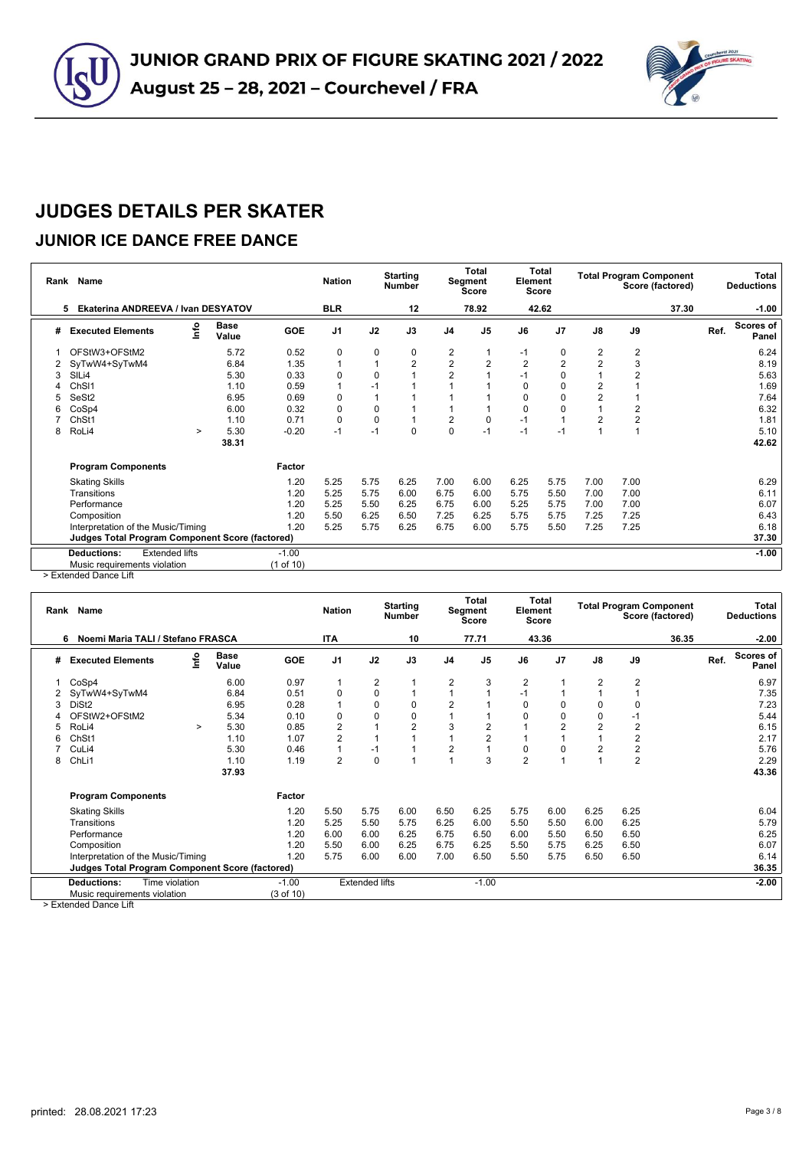

### **JUNIOR ICE DANCE FREE DANCE**

|   | Rank Name                                              |        |                      |            | <b>Nation</b>  |           | <b>Starting</b><br><b>Number</b> |                | <b>Total</b><br>Segment<br><b>Score</b> | Element        | <b>Total</b><br><b>Score</b> |                         |      | <b>Total Program Component</b><br>Score (factored) |      | Total<br><b>Deductions</b> |
|---|--------------------------------------------------------|--------|----------------------|------------|----------------|-----------|----------------------------------|----------------|-----------------------------------------|----------------|------------------------------|-------------------------|------|----------------------------------------------------|------|----------------------------|
|   | <b>Ekaterina ANDREEVA / Ivan DESYATOV</b><br>5         |        |                      |            | <b>BLR</b>     |           | 12                               |                | 78.92                                   |                | 42.62                        |                         |      | 37.30                                              |      | $-1.00$                    |
| # | <b>Executed Elements</b>                               | info   | <b>Base</b><br>Value | <b>GOE</b> | J <sub>1</sub> | J2        | J3                               | J <sub>4</sub> | J <sub>5</sub>                          | J6             | J <sub>7</sub>               | $\mathsf{J}8$           | J9   |                                                    | Ref. | Scores of<br>Panel         |
|   | OFStW3+OFStM2                                          |        | 5.72                 | 0.52       | $\mathbf 0$    | 0         | 0                                | 2              |                                         | $-1$           | 0                            | $\overline{2}$          | 2    |                                                    |      | 6.24                       |
|   | SyTwW4+SyTwM4                                          |        | 6.84                 | 1.35       |                |           | $\overline{2}$                   | 2              | 2                                       | $\overline{2}$ | 2                            | $\overline{2}$          | 3    |                                                    |      | 8.19                       |
| 3 | SILi4                                                  |        | 5.30                 | 0.33       | 0              | 0         |                                  | $\overline{2}$ |                                         | $-1$           | 0                            |                         | 2    |                                                    |      | 5.63                       |
|   | ChSI1                                                  |        | 1.10                 | 0.59       |                | $-1$      |                                  |                |                                         | $\Omega$       | 0                            | $\mathbf 2$             |      |                                                    |      | 1.69                       |
|   | SeSt2                                                  |        | 6.95                 | 0.69       | 0              |           |                                  |                |                                         | $\Omega$       | 0                            | $\overline{\mathbf{c}}$ |      |                                                    |      | 7.64                       |
|   | CoSp4                                                  |        | 6.00                 | 0.32       | $\Omega$       | 0         |                                  |                |                                         | $\Omega$       | 0                            |                         | 2    |                                                    |      | 6.32                       |
|   | ChSt1                                                  |        | 1.10                 | 0.71       | 0              | $\pmb{0}$ |                                  | $\overline{2}$ | 0                                       | $-1$           |                              | $\overline{2}$          | 2    |                                                    |      | 1.81                       |
| 8 | RoLi4                                                  | $\geq$ | 5.30                 | $-0.20$    | $-1$           | $-1$      | 0                                | $\Omega$       | $-1$                                    | $-1$           | $-1$                         |                         |      |                                                    |      | 5.10                       |
|   |                                                        |        | 38.31                |            |                |           |                                  |                |                                         |                |                              |                         |      |                                                    |      | 42.62                      |
|   | <b>Program Components</b>                              |        |                      | Factor     |                |           |                                  |                |                                         |                |                              |                         |      |                                                    |      |                            |
|   | <b>Skating Skills</b>                                  |        |                      | 1.20       | 5.25           | 5.75      | 6.25                             | 7.00           | 6.00                                    | 6.25           | 5.75                         | 7.00                    | 7.00 |                                                    |      | 6.29                       |
|   | Transitions                                            |        |                      | 1.20       | 5.25           | 5.75      | 6.00                             | 6.75           | 6.00                                    | 5.75           | 5.50                         | 7.00                    | 7.00 |                                                    |      | 6.11                       |
|   | Performance                                            |        |                      | 1.20       | 5.25           | 5.50      | 6.25                             | 6.75           | 6.00                                    | 5.25           | 5.75                         | 7.00                    | 7.00 |                                                    |      | 6.07                       |
|   | Composition                                            |        |                      | 1.20       | 5.50           | 6.25      | 6.50                             | 7.25           | 6.25                                    | 5.75           | 5.75                         | 7.25                    | 7.25 |                                                    |      | 6.43                       |
|   | Interpretation of the Music/Timing                     |        |                      | 1.20       | 5.25           | 5.75      | 6.25                             | 6.75           | 6.00                                    | 5.75           | 5.50                         | 7.25                    | 7.25 |                                                    |      | 6.18                       |
|   | <b>Judges Total Program Component Score (factored)</b> |        |                      |            |                |           |                                  |                |                                         |                |                              |                         |      |                                                    |      | 37.30                      |
|   | <b>Extended lifts</b><br><b>Deductions:</b>            |        |                      | $-1.00$    |                |           |                                  |                |                                         |                |                              |                         |      |                                                    |      | $-1.00$                    |
|   | Music requirements violation                           |        |                      | (1 of 10)  |                |           |                                  |                |                                         |                |                              |                         |      |                                                    |      |                            |

> Extended Dance Lift

| Rank | Name                                                   |        |                      |            | <b>Nation</b>  |                       | <b>Starting</b><br><b>Number</b> |                | <b>Total</b><br>Segment<br>Score | Element        | Total<br>Score |                |                         | <b>Total Program Component</b><br>Score (factored) |      | Total<br><b>Deductions</b> |
|------|--------------------------------------------------------|--------|----------------------|------------|----------------|-----------------------|----------------------------------|----------------|----------------------------------|----------------|----------------|----------------|-------------------------|----------------------------------------------------|------|----------------------------|
|      | Noemi Maria TALI / Stefano FRASCA<br>6                 |        |                      |            | <b>ITA</b>     |                       | 10                               |                | 77.71                            |                | 43.36          |                |                         | 36.35                                              |      | $-2.00$                    |
| #    | <b>Executed Elements</b>                               | lnfo   | <b>Base</b><br>Value | <b>GOE</b> | J <sub>1</sub> | J2                    | J3                               | J <sub>4</sub> | J <sub>5</sub>                   | J6             | J <sub>7</sub> | $\mathsf{J}8$  | J9                      |                                                    | Ref. | <b>Scores of</b><br>Panel  |
|      | CoSp4                                                  |        | 6.00                 | 0.97       | 1              | $\overline{2}$        |                                  | 2              | 3                                | 2              |                | $\overline{2}$ | $\overline{2}$          |                                                    |      | 6.97                       |
|      | SyTwW4+SyTwM4                                          |        | 6.84                 | 0.51       | $\Omega$       | 0                     |                                  |                |                                  | $-1$           |                |                | 1                       |                                                    |      | 7.35                       |
|      | DiSt <sub>2</sub>                                      |        | 6.95                 | 0.28       | 1              | 0                     | 0                                | $\overline{2}$ |                                  | $\Omega$       | 0              | 0              | 0                       |                                                    |      | 7.23                       |
|      | OFStW2+OFStM2                                          |        | 5.34                 | 0.10       | $\Omega$       | 0                     | 0                                |                |                                  | $\Omega$       | 0              | $\mathbf 0$    | $-1$                    |                                                    |      | 5.44                       |
|      | RoLi4                                                  | $\geq$ | 5.30                 | 0.85       | 2              |                       | $\overline{2}$                   | 3              | 2                                |                | $\overline{2}$ | $\overline{2}$ | 2                       |                                                    |      | 6.15                       |
|      | ChSt1                                                  |        | 1.10                 | 1.07       | $\overline{2}$ |                       |                                  |                | $\overline{2}$                   |                |                |                | $\overline{\mathbf{c}}$ |                                                    |      | 2.17                       |
|      | CuLi4                                                  |        | 5.30                 | 0.46       | 1              | $-1$                  |                                  | 2              |                                  | $\Omega$       | 0              | $\overline{2}$ | $\overline{c}$          |                                                    |      | 5.76                       |
| 8    | ChLi1                                                  |        | 1.10                 | 1.19       | $\overline{2}$ | $\mathbf 0$           |                                  |                | 3                                | $\overline{2}$ |                |                | $\overline{2}$          |                                                    |      | 2.29                       |
|      |                                                        |        | 37.93                |            |                |                       |                                  |                |                                  |                |                |                |                         |                                                    |      | 43.36                      |
|      | <b>Program Components</b>                              |        |                      | Factor     |                |                       |                                  |                |                                  |                |                |                |                         |                                                    |      |                            |
|      | <b>Skating Skills</b>                                  |        |                      | 1.20       | 5.50           | 5.75                  | 6.00                             | 6.50           | 6.25                             | 5.75           | 6.00           | 6.25           | 6.25                    |                                                    |      | 6.04                       |
|      | Transitions                                            |        |                      | 1.20       | 5.25           | 5.50                  | 5.75                             | 6.25           | 6.00                             | 5.50           | 5.50           | 6.00           | 6.25                    |                                                    |      | 5.79                       |
|      | Performance                                            |        |                      | 1.20       | 6.00           | 6.00                  | 6.25                             | 6.75           | 6.50                             | 6.00           | 5.50           | 6.50           | 6.50                    |                                                    |      | 6.25                       |
|      | Composition                                            |        |                      | 1.20       | 5.50           | 6.00                  | 6.25                             | 6.75           | 6.25                             | 5.50           | 5.75           | 6.25           | 6.50                    |                                                    |      | 6.07                       |
|      | Interpretation of the Music/Timing                     |        |                      | 1.20       | 5.75           | 6.00                  | 6.00                             | 7.00           | 6.50                             | 5.50           | 5.75           | 6.50           | 6.50                    |                                                    |      | 6.14                       |
|      | <b>Judges Total Program Component Score (factored)</b> |        |                      |            |                |                       |                                  |                |                                  |                |                |                |                         |                                                    |      | 36.35                      |
|      | Time violation<br><b>Deductions:</b>                   |        |                      | $-1.00$    |                | <b>Extended lifts</b> |                                  |                | $-1.00$                          |                |                |                |                         |                                                    |      | $-2.00$                    |
|      | Music requirements violation                           |        |                      | (3 of 10)  |                |                       |                                  |                |                                  |                |                |                |                         |                                                    |      |                            |

> Extended Dance Lift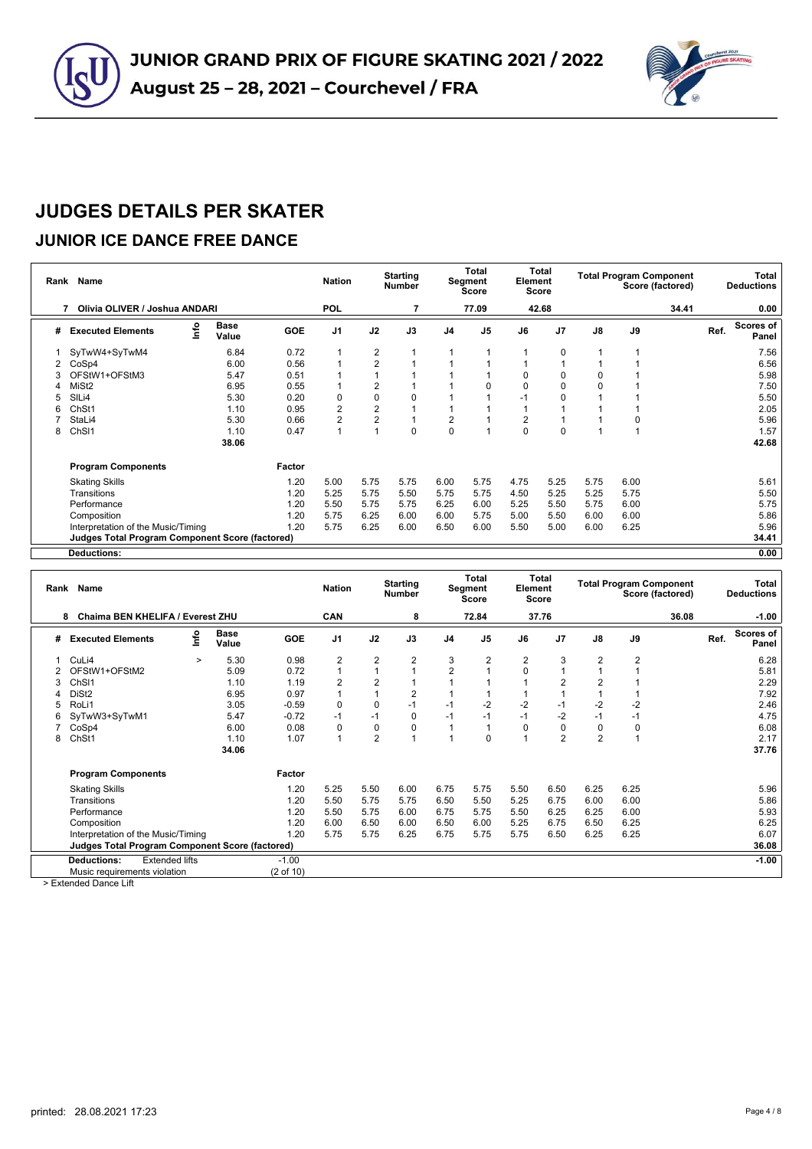

### **JUNIOR ICE DANCE FREE DANCE**

|   | Rank Name                                       |                      |        | <b>Nation</b>  |                | <b>Starting</b><br><b>Number</b> |                | <b>Total</b><br>Segment<br><b>Score</b> | Element        | Total<br><b>Score</b> |                |      | <b>Total Program Component</b><br>Score (factored) |      | Total<br><b>Deductions</b> |
|---|-------------------------------------------------|----------------------|--------|----------------|----------------|----------------------------------|----------------|-----------------------------------------|----------------|-----------------------|----------------|------|----------------------------------------------------|------|----------------------------|
|   | Olivia OLIVER / Joshua ANDARI<br>7              |                      |        | <b>POL</b>     |                | 7                                |                | 77.09                                   |                | 42.68                 |                |      | 34.41                                              |      | 0.00                       |
| # | Info<br><b>Executed Elements</b>                | <b>Base</b><br>Value | GOE    | J <sub>1</sub> | J2             | J3                               | J <sub>4</sub> | J <sub>5</sub>                          | J6             | J <sub>7</sub>        | J8             | J9   |                                                    | Ref. | Scores of<br>Panel         |
|   | SyTwW4+SyTwM4                                   | 6.84                 | 0.72   |                | 2              |                                  |                |                                         |                | 0                     | $\overline{1}$ |      |                                                    |      | 7.56                       |
|   | CoSp4                                           | 6.00                 | 0.56   |                | $\overline{2}$ |                                  |                |                                         |                |                       |                |      |                                                    |      | 6.56                       |
| 3 | OFStW1+OFStM3                                   | 5.47                 | 0.51   |                |                |                                  |                |                                         | 0              | 0                     | 0              |      |                                                    |      | 5.98                       |
| 4 | MiSt <sub>2</sub>                               | 6.95                 | 0.55   |                | 2              |                                  |                | O                                       | $\Omega$       | 0                     | $\mathbf 0$    |      |                                                    |      | 7.50                       |
| 5 | SIL <sub>i4</sub>                               | 5.30                 | 0.20   | $\mathbf 0$    | 0              | 0                                |                |                                         |                | O                     |                |      |                                                    |      | 5.50                       |
| 6 | Ch <sub>St1</sub>                               | 1.10                 | 0.95   | $\overline{2}$ | 2              |                                  |                |                                         |                |                       |                |      |                                                    |      | 2.05                       |
|   | StaLi4                                          | 5.30                 | 0.66   | $\overline{2}$ | 2              |                                  | 2              |                                         | $\overline{2}$ |                       |                |      |                                                    |      | 5.96                       |
| 8 | ChSI1                                           | 1.10                 | 0.47   | $\overline{1}$ |                | $\Omega$                         | $\Omega$       |                                         | $\Omega$       | $\Omega$              |                |      |                                                    |      | 1.57                       |
|   |                                                 | 38.06                |        |                |                |                                  |                |                                         |                |                       |                |      |                                                    |      | 42.68                      |
|   | <b>Program Components</b>                       |                      | Factor |                |                |                                  |                |                                         |                |                       |                |      |                                                    |      |                            |
|   | <b>Skating Skills</b>                           |                      | 1.20   | 5.00           | 5.75           | 5.75                             | 6.00           | 5.75                                    | 4.75           | 5.25                  | 5.75           | 6.00 |                                                    |      | 5.61                       |
|   | Transitions                                     |                      | 1.20   | 5.25           | 5.75           | 5.50                             | 5.75           | 5.75                                    | 4.50           | 5.25                  | 5.25           | 5.75 |                                                    |      | 5.50                       |
|   | Performance                                     |                      | 1.20   | 5.50           | 5.75           | 5.75                             | 6.25           | 6.00                                    | 5.25           | 5.50                  | 5.75           | 6.00 |                                                    |      | 5.75                       |
|   | Composition                                     |                      | 1.20   | 5.75           | 6.25           | 6.00                             | 6.00           | 5.75                                    | 5.00           | 5.50                  | 6.00           | 6.00 |                                                    |      | 5.86                       |
|   | Interpretation of the Music/Timing              |                      | 1.20   | 5.75           | 6.25           | 6.00                             | 6.50           | 6.00                                    | 5.50           | 5.00                  | 6.00           | 6.25 |                                                    |      | 5.96                       |
|   | Judges Total Program Component Score (factored) |                      |        |                |                |                                  |                |                                         |                |                       |                |      |                                                    |      | 34.41                      |
|   | Deductions:                                     |                      |        |                |                |                                  |                |                                         |                |                       |                |      |                                                    |      | 0.00                       |

|   | Rank Name                                              |        |                      |            | <b>Nation</b>  |                | <b>Starting</b><br><b>Number</b> |                | Total<br>Segment<br><b>Score</b> | Element        | Total<br><b>Score</b> |                |      | <b>Total Program Component</b><br>Score (factored) |      | <b>Total</b><br><b>Deductions</b> |
|---|--------------------------------------------------------|--------|----------------------|------------|----------------|----------------|----------------------------------|----------------|----------------------------------|----------------|-----------------------|----------------|------|----------------------------------------------------|------|-----------------------------------|
|   | Chaima BEN KHELIFA / Everest ZHU<br>8                  |        |                      |            | CAN            |                | 8                                |                | 72.84                            |                | 37.76                 |                |      | 36.08                                              |      | $-1.00$                           |
| # | <b>Executed Elements</b>                               | lnfo   | <b>Base</b><br>Value | <b>GOE</b> | J <sub>1</sub> | J2             | J3                               | J <sub>4</sub> | J <sub>5</sub>                   | J6             | J <sub>7</sub>        | J8             | J9   |                                                    | Ref. | Scores of<br>Panel                |
|   | CuLi4                                                  | $\geq$ | 5.30                 | 0.98       | $\overline{2}$ | $\overline{2}$ | 2                                | 3              | $\overline{2}$                   | $\overline{2}$ | 3                     | $\overline{2}$ | 2    |                                                    |      | 6.28                              |
|   | OFStW1+OFStM2                                          |        | 5.09                 | 0.72       | 1              |                | 1                                | $\overline{2}$ |                                  | $\Omega$       |                       |                |      |                                                    |      | 5.81                              |
| 3 | Ch <sub>SI1</sub>                                      |        | 1.10                 | 1.19       | $\overline{2}$ | $\overline{2}$ | 1                                |                |                                  |                | $\overline{2}$        | $\overline{2}$ |      |                                                    |      | 2.29                              |
|   | DiSt <sub>2</sub>                                      |        | 6.95                 | 0.97       | $\overline{1}$ |                | $\overline{2}$                   |                |                                  |                |                       |                |      |                                                    |      | 7.92                              |
| 5 | RoLi1                                                  |        | 3.05                 | $-0.59$    | $\mathbf 0$    | $\Omega$       | $-1$                             | $-1$           | $-2$                             | $-2$           | $-1$                  | $-2$           | $-2$ |                                                    |      | 2.46                              |
| 6 | SyTwW3+SyTwM1                                          |        | 5.47                 | $-0.72$    | $-1$           | $-1$           | 0                                | $-1$           | $-1$                             | $-1$           | $-2$                  | $-1$           | $-1$ |                                                    |      | 4.75                              |
|   | CoSp4                                                  |        | 6.00                 | 0.08       | 0              | $\mathbf 0$    | 0                                | 1              |                                  | $\Omega$       | 0                     | 0              | 0    |                                                    |      | 6.08                              |
| 8 | ChSt1                                                  |        | 1.10                 | 1.07       | $\overline{1}$ | $\overline{2}$ | $\overline{A}$                   | и              | $\Omega$                         |                | $\overline{2}$        | $\overline{2}$ | 1    |                                                    |      | 2.17                              |
|   |                                                        |        | 34.06                |            |                |                |                                  |                |                                  |                |                       |                |      |                                                    |      | 37.76                             |
|   | <b>Program Components</b>                              |        |                      | Factor     |                |                |                                  |                |                                  |                |                       |                |      |                                                    |      |                                   |
|   | <b>Skating Skills</b>                                  |        |                      | 1.20       | 5.25           | 5.50           | 6.00                             | 6.75           | 5.75                             | 5.50           | 6.50                  | 6.25           | 6.25 |                                                    |      | 5.96                              |
|   | Transitions                                            |        |                      | 1.20       | 5.50           | 5.75           | 5.75                             | 6.50           | 5.50                             | 5.25           | 6.75                  | 6.00           | 6.00 |                                                    |      | 5.86                              |
|   | Performance                                            |        |                      | 1.20       | 5.50           | 5.75           | 6.00                             | 6.75           | 5.75                             | 5.50           | 6.25                  | 6.25           | 6.00 |                                                    |      | 5.93                              |
|   | Composition                                            |        |                      | 1.20       | 6.00           | 6.50           | 6.00                             | 6.50           | 6.00                             | 5.25           | 6.75                  | 6.50           | 6.25 |                                                    |      | 6.25                              |
|   | Interpretation of the Music/Timing                     |        |                      | 1.20       | 5.75           | 5.75           | 6.25                             | 6.75           | 5.75                             | 5.75           | 6.50                  | 6.25           | 6.25 |                                                    |      | 6.07                              |
|   | <b>Judges Total Program Component Score (factored)</b> |        |                      |            |                |                |                                  |                |                                  |                |                       |                |      |                                                    |      | 36.08                             |
|   | <b>Deductions:</b><br><b>Extended lifts</b>            |        |                      | $-1.00$    |                |                |                                  |                |                                  |                |                       |                |      |                                                    |      | $-1.00$                           |
|   | Music requirements violation                           |        |                      | (2 of 10)  |                |                |                                  |                |                                  |                |                       |                |      |                                                    |      |                                   |

> Extended Dance Lift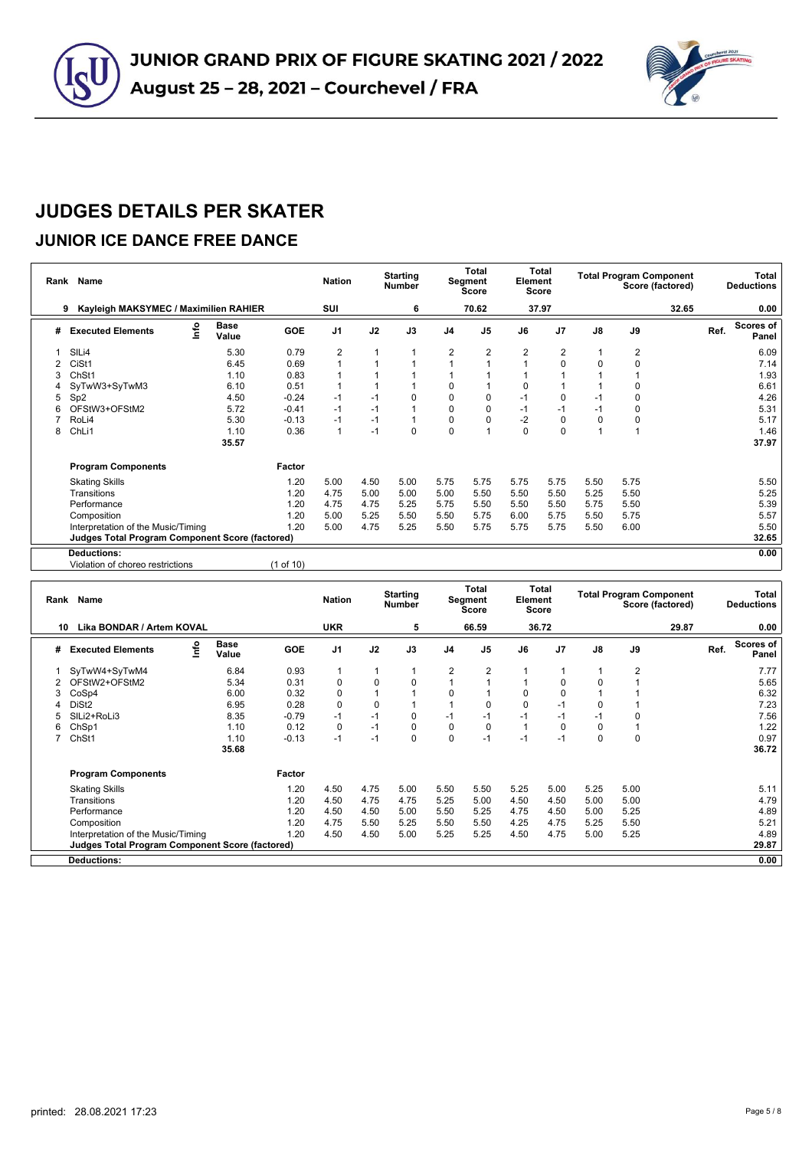



#### **JUNIOR ICE DANCE FREE DANCE**

|   | Rank Name                                              |                      |           | <b>Nation</b>  |      | <b>Starting</b><br><b>Number</b> |                | <b>Total</b><br>Segment<br>Score | Element  | Total<br><b>Score</b> |             | <b>Total Program Component</b> | Score (factored) |      | Total<br><b>Deductions</b> |
|---|--------------------------------------------------------|----------------------|-----------|----------------|------|----------------------------------|----------------|----------------------------------|----------|-----------------------|-------------|--------------------------------|------------------|------|----------------------------|
|   | Kayleigh MAKSYMEC / Maximilien RAHIER<br>9             |                      |           | SUI            |      | 6                                |                | 70.62                            |          | 37.97                 |             |                                | 32.65            |      | 0.00                       |
| # | lnfo<br><b>Executed Elements</b>                       | <b>Base</b><br>Value | GOE       | J <sub>1</sub> | J2   | J3                               | J <sub>4</sub> | J <sub>5</sub>                   | J6       | J <sub>7</sub>        | J8          | J9                             |                  | Ref. | Scores of<br>Panel         |
|   | SIL <sub>i4</sub>                                      | 5.30                 | 0.79      | 2              |      |                                  | 2              | 2                                | 2        | 2                     | $\mathbf 1$ | 2                              |                  |      | 6.09                       |
|   | CiSt1                                                  | 6.45                 | 0.69      |                |      |                                  |                |                                  |          | $\Omega$              | $\mathbf 0$ | $\Omega$                       |                  |      | 7.14                       |
|   | ChSt1                                                  | 1.10                 | 0.83      |                |      |                                  |                |                                  |          |                       |             |                                |                  |      | 1.93                       |
|   | SyTwW3+SyTwM3                                          | 6.10                 | 0.51      |                |      |                                  | 0              |                                  | 0        |                       |             | $\Omega$                       |                  |      | 6.61                       |
| 5 | Sp <sub>2</sub>                                        | 4.50                 | $-0.24$   | $-1$           | -1   | 0                                | 0              | 0                                | -1       | 0                     | $-1$        | 0                              |                  |      | 4.26                       |
| 6 | OFStW3+OFStM2                                          | 5.72                 | $-0.41$   | $-1$           | $-1$ |                                  | $\Omega$       | 0                                | $-1$     | $-1$                  | $-1$        | 0                              |                  |      | 5.31                       |
|   | RoLi4                                                  | 5.30                 | $-0.13$   | $-1$           | $-1$ |                                  | 0              | $\Omega$                         | $-2$     | 0                     | $\mathbf 0$ | 0                              |                  |      | 5.17                       |
| 8 | ChLi1                                                  | 1.10                 | 0.36      | $\mathbf{1}$   | $-1$ | 0                                | $\Omega$       |                                  | $\Omega$ | $\Omega$              | 1           |                                |                  |      | 1.46                       |
|   |                                                        | 35.57                |           |                |      |                                  |                |                                  |          |                       |             |                                |                  |      | 37.97                      |
|   | <b>Program Components</b>                              |                      | Factor    |                |      |                                  |                |                                  |          |                       |             |                                |                  |      |                            |
|   | <b>Skating Skills</b>                                  |                      | 1.20      | 5.00           | 4.50 | 5.00                             | 5.75           | 5.75                             | 5.75     | 5.75                  | 5.50        | 5.75                           |                  |      | 5.50                       |
|   | Transitions                                            |                      | 1.20      | 4.75           | 5.00 | 5.00                             | 5.00           | 5.50                             | 5.50     | 5.50                  | 5.25        | 5.50                           |                  |      | 5.25                       |
|   | Performance                                            |                      | 1.20      | 4.75           | 4.75 | 5.25                             | 5.75           | 5.50                             | 5.50     | 5.50                  | 5.75        | 5.50                           |                  |      | 5.39                       |
|   | Composition                                            |                      | 1.20      | 5.00           | 5.25 | 5.50                             | 5.50           | 5.75                             | 6.00     | 5.75                  | 5.50        | 5.75                           |                  |      | 5.57                       |
|   | Interpretation of the Music/Timing                     |                      | 1.20      | 5.00           | 4.75 | 5.25                             | 5.50           | 5.75                             | 5.75     | 5.75                  | 5.50        | 6.00                           |                  |      | 5.50                       |
|   | <b>Judges Total Program Component Score (factored)</b> |                      |           |                |      |                                  |                |                                  |          |                       |             |                                |                  |      | 32.65                      |
|   | <b>Deductions:</b>                                     |                      |           |                |      |                                  |                |                                  |          |                       |             |                                |                  |      | 0.00                       |
|   | Violation of choreo restrictions                       |                      | (1 of 10) |                |      |                                  |                |                                  |          |                       |             |                                |                  |      |                            |

| Rank | Name                                                   |                      |            | <b>Nation</b>  |              | <b>Starting</b><br><b>Number</b> |                | <b>Total</b><br>Segment<br><b>Score</b> | Element | <b>Total</b><br>Score |               |             | <b>Total Program Component</b><br>Score (factored) |      | Total<br><b>Deductions</b> |
|------|--------------------------------------------------------|----------------------|------------|----------------|--------------|----------------------------------|----------------|-----------------------------------------|---------|-----------------------|---------------|-------------|----------------------------------------------------|------|----------------------------|
| 10   | Lika BONDAR / Artem KOVAL                              |                      |            | <b>UKR</b>     |              | 5                                |                | 66.59                                   |         | 36.72                 |               |             | 29.87                                              |      | 0.00                       |
| #    | ١nfo<br><b>Executed Elements</b>                       | <b>Base</b><br>Value | <b>GOE</b> | J <sub>1</sub> | J2           | J3                               | J <sub>4</sub> | J <sub>5</sub>                          | J6      | J <sub>7</sub>        | $\mathsf{J}8$ | J9          |                                                    | Ref. | Scores of<br>Panel         |
|      | SyTwW4+SyTwM4                                          | 6.84                 | 0.93       |                | $\mathbf{1}$ |                                  | $\overline{2}$ | 2                                       |         |                       |               | 2           |                                                    |      | 7.77                       |
|      | OFStW2+OFStM2                                          | 5.34                 | 0.31       | $\Omega$       | 0            | $\mathbf 0$                      |                |                                         |         | 0                     | 0             |             |                                                    |      | 5.65                       |
| 3    | CoSp4                                                  | 6.00                 | 0.32       | 0              |              |                                  | 0              |                                         | 0       | 0                     |               |             |                                                    |      | 6.32                       |
|      | DiSt <sub>2</sub>                                      | 6.95                 | 0.28       | $\Omega$       | 0            |                                  |                | O                                       | 0       | $-1$                  | 0             |             |                                                    |      | 7.23                       |
|      | SILi2+RoLi3                                            | 8.35                 | $-0.79$    | $-1$           | $-1$         | 0                                | $-1$           | $-1$                                    | $-1$    | $-1$                  | $-1$          |             |                                                    |      | 7.56                       |
| 6    | ChSp1                                                  | 1.10                 | 0.12       | 0              | $-1$         | $\mathbf 0$                      | 0              | $\Omega$                                |         | 0                     | 0             |             |                                                    |      | 1.22                       |
|      | ChSt1                                                  | 1.10                 | $-0.13$    | $-1$           | $-1$         | $\mathbf 0$                      | $\Omega$       | $-1$                                    | $-1$    | $-1$                  | 0             | $\mathbf 0$ |                                                    |      | 0.97                       |
|      |                                                        | 35.68                |            |                |              |                                  |                |                                         |         |                       |               |             |                                                    |      | 36.72                      |
|      | <b>Program Components</b>                              |                      | Factor     |                |              |                                  |                |                                         |         |                       |               |             |                                                    |      |                            |
|      | <b>Skating Skills</b>                                  |                      | 1.20       | 4.50           | 4.75         | 5.00                             | 5.50           | 5.50                                    | 5.25    | 5.00                  | 5.25          | 5.00        |                                                    |      | 5.11                       |
|      | Transitions                                            |                      | 1.20       | 4.50           | 4.75         | 4.75                             | 5.25           | 5.00                                    | 4.50    | 4.50                  | 5.00          | 5.00        |                                                    |      | 4.79                       |
|      | Performance                                            |                      | 1.20       | 4.50           | 4.50         | 5.00                             | 5.50           | 5.25                                    | 4.75    | 4.50                  | 5.00          | 5.25        |                                                    |      | 4.89                       |
|      | Composition                                            |                      | 1.20       | 4.75           | 5.50         | 5.25                             | 5.50           | 5.50                                    | 4.25    | 4.75                  | 5.25          | 5.50        |                                                    |      | 5.21                       |
|      | Interpretation of the Music/Timing                     |                      | 1.20       | 4.50           | 4.50         | 5.00                             | 5.25           | 5.25                                    | 4.50    | 4.75                  | 5.00          | 5.25        |                                                    |      | 4.89                       |
|      | <b>Judges Total Program Component Score (factored)</b> |                      |            |                |              |                                  |                |                                         |         |                       |               |             |                                                    |      | 29.87                      |
|      | <b>Deductions:</b>                                     |                      |            |                |              |                                  |                |                                         |         |                       |               |             |                                                    |      | 0.00                       |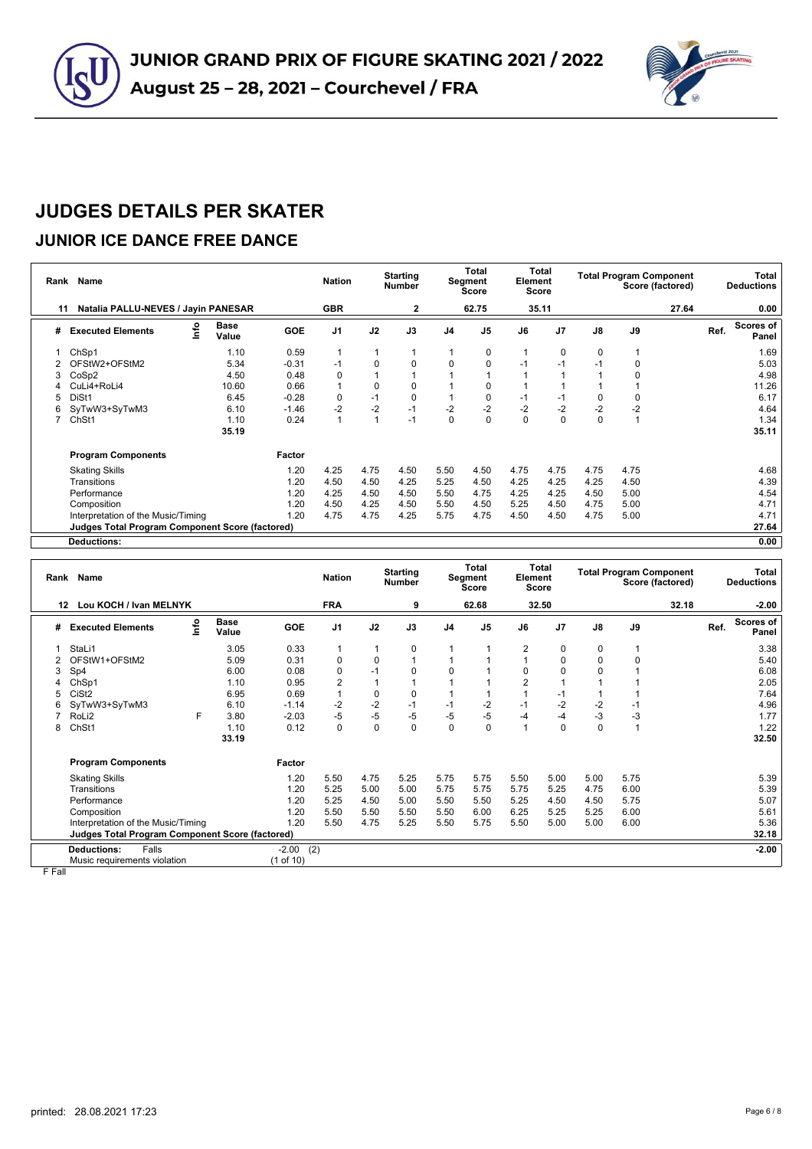



#### **JUNIOR ICE DANCE FREE DANCE**

| Rank | Name                                                   |      |               |            | <b>Nation</b>  |      | <b>Starting</b><br><b>Number</b> |                | <b>Total</b><br>Segment<br><b>Score</b> | Element | <b>Total</b><br>Score |               | <b>Total Program Component</b> | Score (factored) |      | Total<br><b>Deductions</b> |
|------|--------------------------------------------------------|------|---------------|------------|----------------|------|----------------------------------|----------------|-----------------------------------------|---------|-----------------------|---------------|--------------------------------|------------------|------|----------------------------|
| 11   | Natalia PALLU-NEVES / Jayin PANESAR                    |      |               |            | <b>GBR</b>     |      | 2                                |                | 62.75                                   |         | 35.11                 |               |                                | 27.64            |      | 0.00                       |
| #    | <b>Executed Elements</b>                               | Info | Base<br>Value | <b>GOE</b> | J <sub>1</sub> | J2   | J3                               | J <sub>4</sub> | J <sub>5</sub>                          | J6      | J7                    | $\mathsf{J}8$ | J9                             |                  | Ref. | <b>Scores of</b><br>Panel  |
|      | ChSp1                                                  |      | 1.10          | 0.59       |                |      |                                  |                | 0                                       |         | 0                     | 0             |                                |                  |      | 1.69                       |
|      | OFStW2+OFStM2                                          |      | 5.34          | $-0.31$    | $-1$           | 0    | 0                                | 0              | 0                                       | -1      | $-1$                  | $-1$          | 0                              |                  |      | 5.03                       |
| 3    | CoSp2                                                  |      | 4.50          | 0.48       | 0              |      |                                  |                |                                         |         |                       |               | 0                              |                  |      | 4.98                       |
|      | CuLi4+RoLi4                                            |      | 10.60         | 0.66       |                | 0    | 0                                |                | 0                                       |         |                       |               |                                |                  |      | 11.26                      |
| 5    | DiSt1                                                  |      | 6.45          | $-0.28$    | $\mathbf 0$    | $-1$ | $\mathbf 0$                      |                | 0                                       | -1      | $-1$                  | $\mathbf 0$   | 0                              |                  |      | 6.17                       |
| 6    | SyTwW3+SyTwM3                                          |      | 6.10          | $-1.46$    | $-2$           | $-2$ | $-1$                             | $-2$           | $-2$                                    | $-2$    | $-2$                  | $-2$          | $-2$                           |                  |      | 4.64                       |
|      | ChSt1                                                  |      | 1.10          | 0.24       | 1              |      | $-1$                             | 0              | $\mathbf 0$                             | 0       | 0                     | $\mathbf 0$   |                                |                  |      | 1.34                       |
|      |                                                        |      | 35.19         |            |                |      |                                  |                |                                         |         |                       |               |                                |                  |      | 35.11                      |
|      | <b>Program Components</b>                              |      |               | Factor     |                |      |                                  |                |                                         |         |                       |               |                                |                  |      |                            |
|      | <b>Skating Skills</b>                                  |      |               | 1.20       | 4.25           | 4.75 | 4.50                             | 5.50           | 4.50                                    | 4.75    | 4.75                  | 4.75          | 4.75                           |                  |      | 4.68                       |
|      | Transitions                                            |      |               | 1.20       | 4.50           | 4.50 | 4.25                             | 5.25           | 4.50                                    | 4.25    | 4.25                  | 4.25          | 4.50                           |                  |      | 4.39                       |
|      | Performance                                            |      |               | 1.20       | 4.25           | 4.50 | 4.50                             | 5.50           | 4.75                                    | 4.25    | 4.25                  | 4.50          | 5.00                           |                  |      | 4.54                       |
|      | Composition                                            |      |               | 1.20       | 4.50           | 4.25 | 4.50                             | 5.50           | 4.50                                    | 5.25    | 4.50                  | 4.75          | 5.00                           |                  |      | 4.71                       |
|      | Interpretation of the Music/Timing                     |      |               | 1.20       | 4.75           | 4.75 | 4.25                             | 5.75           | 4.75                                    | 4.50    | 4.50                  | 4.75          | 5.00                           |                  |      | 4.71                       |
|      | <b>Judges Total Program Component Score (factored)</b> |      |               |            |                |      |                                  |                |                                         |         |                       |               |                                |                  |      | 27.64                      |
|      | <b>Deductions:</b>                                     |      |               |            |                |      |                                  |                |                                         |         |                       |               |                                |                  |      | 0.00                       |

|    | Rank Name                                              |      |                      |                | <b>Nation</b>  |             | <b>Starting</b><br><b>Number</b> |                | Total<br>Segment<br><b>Score</b> | Element        | <b>Total</b><br><b>Score</b> |               |      | <b>Total Program Component</b><br>Score (factored) |      | <b>Total</b><br><b>Deductions</b> |
|----|--------------------------------------------------------|------|----------------------|----------------|----------------|-------------|----------------------------------|----------------|----------------------------------|----------------|------------------------------|---------------|------|----------------------------------------------------|------|-----------------------------------|
| 12 | Lou KOCH / Ivan MELNYK                                 |      |                      |                | <b>FRA</b>     |             | 9                                |                | 62.68                            |                | 32.50                        |               |      | 32.18                                              |      | $-2.00$                           |
| #  | <b>Executed Elements</b>                               | Info | <b>Base</b><br>Value | <b>GOE</b>     | J <sub>1</sub> | J2          | J3                               | J <sub>4</sub> | J <sub>5</sub>                   | J6             | J <sub>7</sub>               | $\mathsf{J}8$ | J9   |                                                    | Ref. | <b>Scores of</b><br>Panel         |
|    | StaLi1                                                 |      | 3.05                 | 0.33           | 1              |             | 0                                | 1              |                                  | $\overline{2}$ | 0                            | 0             |      |                                                    |      | 3.38                              |
|    | OFStW1+OFStM2                                          |      | 5.09                 | 0.31           | $\mathbf 0$    | $\Omega$    | 1                                |                |                                  |                | $\Omega$                     | 0             | 0    |                                                    |      | 5.40                              |
| 3  | Sp4                                                    |      | 6.00                 | 0.08           | $\mathbf 0$    | $-1$        | 0                                | 0              |                                  | $\Omega$       | $\Omega$                     | 0             |      |                                                    |      | 6.08                              |
|    | ChSp1                                                  |      | 1.10                 | 0.95           | $\overline{2}$ |             |                                  |                |                                  | $\overline{2}$ |                              |               |      |                                                    |      | 2.05                              |
|    | CiSt <sub>2</sub>                                      |      | 6.95                 | 0.69           | $\overline{1}$ | 0           | 0                                |                |                                  |                | $-1$                         |               |      |                                                    |      | 7.64                              |
|    | SyTwW3+SyTwM3                                          |      | 6.10                 | $-1.14$        | $-2$           | $-2$        | $-1$                             | $-1$           | $-2$                             | $-1$           | $-2$                         | $-2$          | -1   |                                                    |      | 4.96                              |
|    | RoLi <sub>2</sub>                                      | F    | 3.80                 | $-2.03$        | $-5$           | $-5$        | -5                               | -5             | $-5$                             | -4             | $-4$                         | $-3$          | -3   |                                                    |      | 1.77                              |
| 8  | ChSt1                                                  |      | 1.10                 | 0.12           | $\mathbf 0$    | $\mathbf 0$ | 0                                | $\Omega$       | 0                                |                | 0                            | $\mathbf 0$   | 1    |                                                    |      | 1.22                              |
|    |                                                        |      | 33.19                |                |                |             |                                  |                |                                  |                |                              |               |      |                                                    |      | 32.50                             |
|    | <b>Program Components</b>                              |      |                      | Factor         |                |             |                                  |                |                                  |                |                              |               |      |                                                    |      |                                   |
|    | <b>Skating Skills</b>                                  |      |                      | 1.20           | 5.50           | 4.75        | 5.25                             | 5.75           | 5.75                             | 5.50           | 5.00                         | 5.00          | 5.75 |                                                    |      | 5.39                              |
|    | Transitions                                            |      |                      | 1.20           | 5.25           | 5.00        | 5.00                             | 5.75           | 5.75                             | 5.75           | 5.25                         | 4.75          | 6.00 |                                                    |      | 5.39                              |
|    | Performance                                            |      |                      | 1.20           | 5.25           | 4.50        | 5.00                             | 5.50           | 5.50                             | 5.25           | 4.50                         | 4.50          | 5.75 |                                                    |      | 5.07                              |
|    | Composition                                            |      |                      | 1.20           | 5.50           | 5.50        | 5.50                             | 5.50           | 6.00                             | 6.25           | 5.25                         | 5.25          | 6.00 |                                                    |      | 5.61                              |
|    | Interpretation of the Music/Timing                     |      |                      | 1.20           | 5.50           | 4.75        | 5.25                             | 5.50           | 5.75                             | 5.50           | 5.00                         | 5.00          | 6.00 |                                                    |      | 5.36                              |
|    | <b>Judges Total Program Component Score (factored)</b> |      |                      |                |                |             |                                  |                |                                  |                |                              |               |      |                                                    |      | 32.18                             |
|    | <b>Deductions:</b><br>Falls                            |      |                      | (2)<br>$-2.00$ |                |             |                                  |                |                                  |                |                              |               |      |                                                    |      | $-2.00$                           |
|    | Music requirements violation                           |      |                      | (1 of 10)      |                |             |                                  |                |                                  |                |                              |               |      |                                                    |      |                                   |

F Fall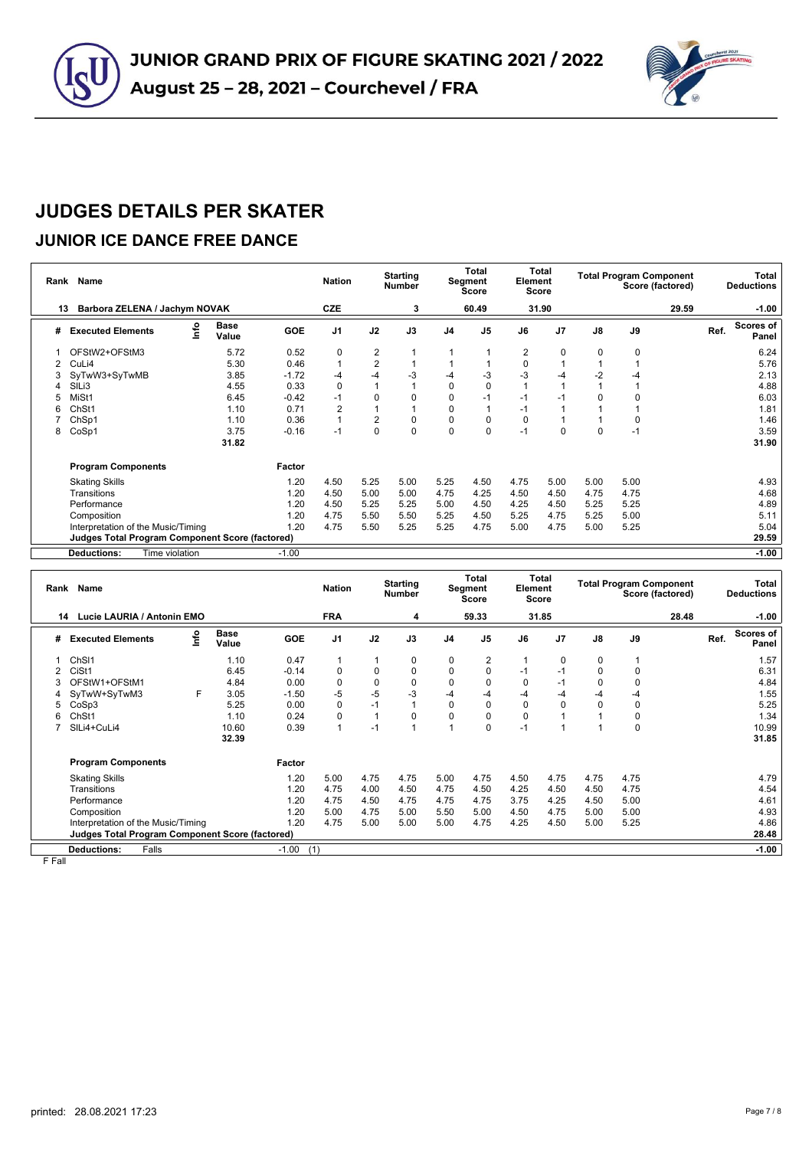



#### **JUNIOR ICE DANCE FREE DANCE**

|    | Rank Name                                       |                      |            | <b>Nation</b>  |                | <b>Starting</b><br><b>Number</b> |                | <b>Total</b><br>Segment<br><b>Score</b> | Element        | Total<br><b>Score</b> |               |      | <b>Total Program Component</b><br>Score (factored) |      | Total<br><b>Deductions</b> |
|----|-------------------------------------------------|----------------------|------------|----------------|----------------|----------------------------------|----------------|-----------------------------------------|----------------|-----------------------|---------------|------|----------------------------------------------------|------|----------------------------|
| 13 | Barbora ZELENA / Jachym NOVAK                   |                      |            | <b>CZE</b>     |                | 3                                |                | 60.49                                   |                | 31.90                 |               |      | 29.59                                              |      | $-1.00$                    |
| #  | lnfo<br><b>Executed Elements</b>                | <b>Base</b><br>Value | <b>GOE</b> | J <sub>1</sub> | J2             | J3                               | J <sub>4</sub> | J <sub>5</sub>                          | J6             | J <sub>7</sub>        | $\mathsf{J}8$ | J9   |                                                    | Ref. | Scores of<br>Panel         |
|    | OFStW2+OFStM3                                   | 5.72                 | 0.52       | 0              | $\overline{c}$ |                                  |                |                                         | $\overline{2}$ | 0                     | 0             | 0    |                                                    |      | 6.24                       |
|    | CuLi4                                           | 5.30                 | 0.46       | $\overline{1}$ | $\overline{2}$ | $\mathbf{1}$                     |                |                                         | $\mathbf 0$    |                       |               |      |                                                    |      | 5.76                       |
| 3  | SyTwW3+SyTwMB                                   | 3.85                 | $-1.72$    | $-4$           | $-4$           | $-3$                             | -4             | $-3$                                    | -3             | $-4$                  | $-2$          | -4   |                                                    |      | 2.13                       |
|    | SILi3                                           | 4.55                 | 0.33       | $\mathbf 0$    |                |                                  | $\Omega$       | 0                                       |                |                       |               |      |                                                    |      | 4.88                       |
| 5  | MiSt1                                           | 6.45                 | $-0.42$    | $-1$           | 0              | $\Omega$                         | 0              | $-1$                                    | $-1$           | -1                    | 0             |      |                                                    |      | 6.03                       |
| 6  | ChSt1                                           | 1.10                 | 0.71       | $\overline{2}$ |                |                                  | $\Omega$       |                                         | $-1$           |                       |               |      |                                                    |      | 1.81                       |
|    | ChSp1                                           | 1.10                 | 0.36       | $\overline{1}$ | $\overline{2}$ | 0                                | $\Omega$       | 0                                       | $\Omega$       |                       |               | 0    |                                                    |      | 1.46                       |
| 8  | CoSp1                                           | 3.75                 | $-0.16$    | $-1$           | $\Omega$       | $\Omega$                         | $\Omega$       | 0                                       | $-1$           | 0                     | $\mathbf 0$   | $-1$ |                                                    |      | 3.59                       |
|    |                                                 | 31.82                |            |                |                |                                  |                |                                         |                |                       |               |      |                                                    |      | 31.90                      |
|    | <b>Program Components</b>                       |                      | Factor     |                |                |                                  |                |                                         |                |                       |               |      |                                                    |      |                            |
|    | <b>Skating Skills</b>                           |                      | 1.20       | 4.50           | 5.25           | 5.00                             | 5.25           | 4.50                                    | 4.75           | 5.00                  | 5.00          | 5.00 |                                                    |      | 4.93                       |
|    | Transitions                                     |                      | 1.20       | 4.50           | 5.00           | 5.00                             | 4.75           | 4.25                                    | 4.50           | 4.50                  | 4.75          | 4.75 |                                                    |      | 4.68                       |
|    | Performance                                     |                      | 1.20       | 4.50           | 5.25           | 5.25                             | 5.00           | 4.50                                    | 4.25           | 4.50                  | 5.25          | 5.25 |                                                    |      | 4.89                       |
|    | Composition                                     |                      | 1.20       | 4.75           | 5.50           | 5.50                             | 5.25           | 4.50                                    | 5.25           | 4.75                  | 5.25          | 5.00 |                                                    |      | 5.11                       |
|    | Interpretation of the Music/Timing              |                      | 1.20       | 4.75           | 5.50           | 5.25                             | 5.25           | 4.75                                    | 5.00           | 4.75                  | 5.00          | 5.25 |                                                    |      | 5.04                       |
|    | Judges Total Program Component Score (factored) |                      |            |                |                |                                  |                |                                         |                |                       |               |      |                                                    |      | 29.59                      |
|    | Time violation<br><b>Deductions:</b>            |                      | $-1.00$    |                |                |                                  |                |                                         |                |                       |               |      |                                                    |      | $-1.00$                    |

| Rank                                                            | <b>Name</b>                        |      |                      |            | <b>Nation</b>  |              | <b>Starting</b><br><b>Number</b> |                | <b>Total</b><br>Segment<br><b>Score</b> | Element  | Total<br>Score |             | <b>Total Program Component</b><br>Score (factored) |       |      | Total<br><b>Deductions</b> |
|-----------------------------------------------------------------|------------------------------------|------|----------------------|------------|----------------|--------------|----------------------------------|----------------|-----------------------------------------|----------|----------------|-------------|----------------------------------------------------|-------|------|----------------------------|
| 14                                                              | Lucie LAURIA / Antonin EMO         |      |                      |            | <b>FRA</b>     |              | 4                                |                | 59.33                                   |          | 31.85          |             |                                                    | 28.48 |      | $-1.00$                    |
| #                                                               | <b>Executed Elements</b>           | Info | <b>Base</b><br>Value | <b>GOE</b> | J <sub>1</sub> | J2           | J3                               | J <sub>4</sub> | J <sub>5</sub>                          | J6       | J <sub>7</sub> | J8          | J9                                                 |       | Ref. | <b>Scores of</b><br>Panel  |
|                                                                 | Ch <sub>SI1</sub>                  |      | 1.10                 | 0.47       | 1              | 1            | 0                                | 0              | 2                                       |          | $\Omega$       | 0           |                                                    |       |      | 1.57                       |
| 2                                                               | CiSt1                              |      | 6.45                 | $-0.14$    | 0              | $\mathbf 0$  | $\Omega$                         | $\Omega$       | $\Omega$                                | $-1$     | $-1$           | 0           | $\mathbf 0$                                        |       |      | 6.31                       |
| 3                                                               | OFStW1+OFStM1                      |      | 4.84                 | 0.00       | 0              | $\pmb{0}$    | $\mathbf 0$                      | $\mathbf 0$    | 0                                       | $\Omega$ | $-1$           | $\mathbf 0$ | 0                                                  |       |      | 4.84                       |
| 4                                                               | SyTwW+SyTwM3                       | F    | 3.05                 | $-1.50$    | $-5$           | $-5$         | $-3$                             | -4             | -4                                      | -4       | -4             | $-4$        | $-4$                                               |       |      | 1.55                       |
| 5                                                               | CoSp3                              |      | 5.25                 | 0.00       | 0              | $-1$         |                                  | $\mathbf 0$    | 0                                       | $\Omega$ | $\mathbf 0$    | $\mathbf 0$ | 0                                                  |       |      | 5.25                       |
| 6                                                               | Ch <sub>St1</sub>                  |      | 1.10                 | 0.24       | 0              | $\mathbf{1}$ | 0                                | 0              |                                         | 0        |                |             | 0                                                  |       |      | 1.34                       |
|                                                                 | SILi4+CuLi4                        |      | 10.60                | 0.39       | 1              | $-1$         |                                  |                | 0                                       | $-1$     |                | и           | 0                                                  |       |      | 10.99                      |
|                                                                 |                                    |      | 32.39                |            |                |              |                                  |                |                                         |          |                |             |                                                    |       |      | 31.85                      |
|                                                                 | <b>Program Components</b>          |      |                      | Factor     |                |              |                                  |                |                                         |          |                |             |                                                    |       |      |                            |
|                                                                 | <b>Skating Skills</b>              |      |                      | 1.20       | 5.00           | 4.75         | 4.75                             | 5.00           | 4.75                                    | 4.50     | 4.75           | 4.75        | 4.75                                               |       |      | 4.79                       |
|                                                                 | Transitions                        |      |                      | 1.20       | 4.75           | 4.00         | 4.50                             | 4.75           | 4.50                                    | 4.25     | 4.50           | 4.50        | 4.75                                               |       |      | 4.54                       |
|                                                                 | Performance                        |      |                      | 1.20       | 4.75           | 4.50         | 4.75                             | 4.75           | 4.75                                    | 3.75     | 4.25           | 4.50        | 5.00                                               |       |      | 4.61                       |
|                                                                 | Composition                        |      |                      | 1.20       | 5.00           | 4.75         | 5.00                             | 5.50           | 5.00                                    | 4.50     | 4.75           | 5.00        | 5.00                                               |       |      | 4.93                       |
|                                                                 | Interpretation of the Music/Timing |      |                      | 1.20       | 4.75           | 5.00         | 5.00                             | 5.00           | 4.75                                    | 4.25     | 4.50           | 5.00        | 5.25                                               |       |      | 4.86                       |
| <b>Judges Total Program Component Score (factored)</b><br>28.48 |                                    |      |                      |            |                |              |                                  |                |                                         |          |                |             |                                                    |       |      |                            |
| $-1.00$<br>Falls<br>$-1.00$<br>(1)<br><b>Deductions:</b>        |                                    |      |                      |            |                |              |                                  |                |                                         |          |                |             |                                                    |       |      |                            |

F Fall